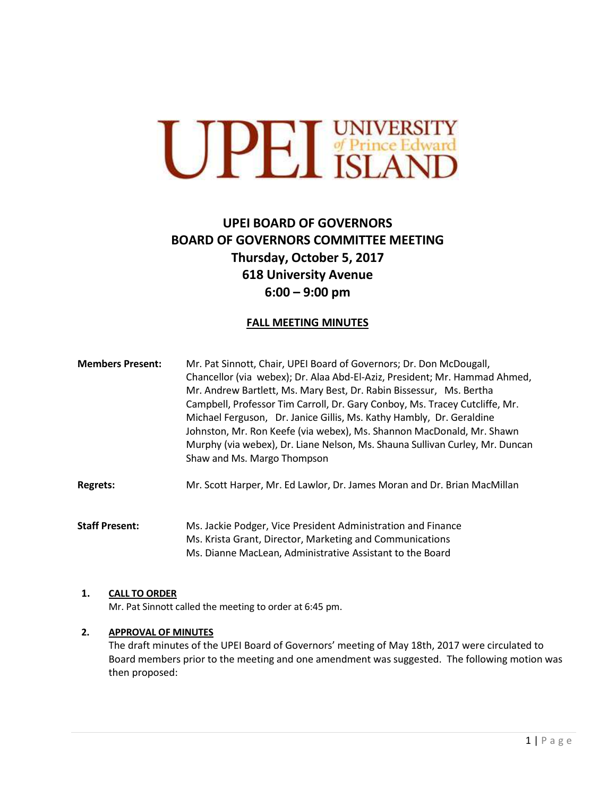

# **UPEI BOARD OF GOVERNORS BOARD OF GOVERNORS COMMITTEE MEETING Thursday, October 5, 2017 618 University Avenue 6:00 – 9:00 pm**

## **FALL MEETING MINUTES**

| <b>Members Present:</b> | Mr. Pat Sinnott, Chair, UPEI Board of Governors; Dr. Don McDougall,<br>Chancellor (via webex); Dr. Alaa Abd-El-Aziz, President; Mr. Hammad Ahmed,<br>Mr. Andrew Bartlett, Ms. Mary Best, Dr. Rabin Bissessur, Ms. Bertha<br>Campbell, Professor Tim Carroll, Dr. Gary Conboy, Ms. Tracey Cutcliffe, Mr.<br>Michael Ferguson, Dr. Janice Gillis, Ms. Kathy Hambly, Dr. Geraldine<br>Johnston, Mr. Ron Keefe (via webex), Ms. Shannon MacDonald, Mr. Shawn<br>Murphy (via webex), Dr. Liane Nelson, Ms. Shauna Sullivan Curley, Mr. Duncan<br>Shaw and Ms. Margo Thompson |
|-------------------------|-------------------------------------------------------------------------------------------------------------------------------------------------------------------------------------------------------------------------------------------------------------------------------------------------------------------------------------------------------------------------------------------------------------------------------------------------------------------------------------------------------------------------------------------------------------------------|
| <b>Regrets:</b>         | Mr. Scott Harper, Mr. Ed Lawlor, Dr. James Moran and Dr. Brian MacMillan                                                                                                                                                                                                                                                                                                                                                                                                                                                                                                |

**Staff Present:** Ms. Jackie Podger, Vice President Administration and Finance Ms. Krista Grant, Director, Marketing and Communications Ms. Dianne MacLean, Administrative Assistant to the Board

#### **1. CALL TO ORDER**

Mr. Pat Sinnott called the meeting to order at 6:45 pm.

## **2. APPROVAL OF MINUTES**

The draft minutes of the UPEI Board of Governors' meeting of May 18th, 2017 were circulated to Board members prior to the meeting and one amendment was suggested. The following motion was then proposed: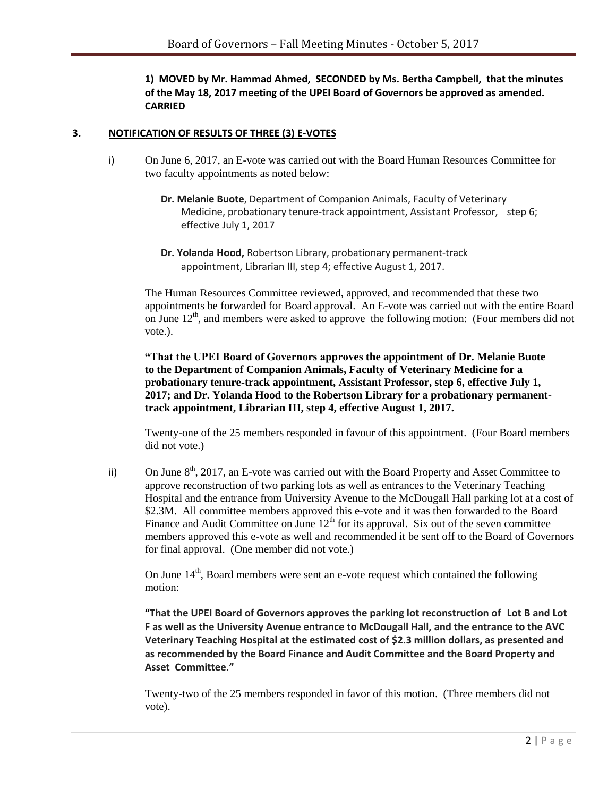**1) MOVED by Mr. Hammad Ahmed, SECONDED by Ms. Bertha Campbell, that the minutes of the May 18, 2017 meeting of the UPEI Board of Governors be approved as amended. CARRIED**

## **3. NOTIFICATION OF RESULTS OF THREE (3) E-VOTES**

- i) On June 6, 2017, an E-vote was carried out with the Board Human Resources Committee for two faculty appointments as noted below:
	- **Dr. Melanie Buote**, Department of Companion Animals, Faculty of Veterinary Medicine, probationary tenure-track appointment, Assistant Professor, step 6; effective July 1, 2017
	- **Dr. Yolanda Hood,** Robertson Library, probationary permanent-track appointment, Librarian III, step 4; effective August 1, 2017.

The Human Resources Committee reviewed, approved, and recommended that these two appointments be forwarded for Board approval. An E-vote was carried out with the entire Board on June  $12<sup>th</sup>$ , and members were asked to approve the following motion: (Four members did not vote.).

**"That the UPEI Board of Governors approves the appointment of Dr. Melanie Buote to the Department of Companion Animals, Faculty of Veterinary Medicine for a probationary tenure-track appointment, Assistant Professor, step 6, effective July 1, 2017; and Dr. Yolanda Hood to the Robertson Library for a probationary permanenttrack appointment, Librarian III, step 4, effective August 1, 2017.** 

Twenty-one of the 25 members responded in favour of this appointment. (Four Board members did not vote.)

ii) On June  $8<sup>th</sup>$ , 2017, an E-vote was carried out with the Board Property and Asset Committee to approve reconstruction of two parking lots as well as entrances to the Veterinary Teaching Hospital and the entrance from University Avenue to the McDougall Hall parking lot at a cost of \$2.3M. All committee members approved this e-vote and it was then forwarded to the Board Finance and Audit Committee on June  $12<sup>th</sup>$  for its approval. Six out of the seven committee members approved this e-vote as well and recommended it be sent off to the Board of Governors for final approval. (One member did not vote.)

On June  $14<sup>th</sup>$ , Board members were sent an e-vote request which contained the following motion:

**"That the UPEI Board of Governors approves the parking lot reconstruction of Lot B and Lot F as well as the University Avenue entrance to McDougall Hall, and the entrance to the AVC Veterinary Teaching Hospital at the estimated cost of \$2.3 million dollars, as presented and as recommended by the Board Finance and Audit Committee and the Board Property and Asset Committee."**

Twenty-two of the 25 members responded in favor of this motion. (Three members did not vote).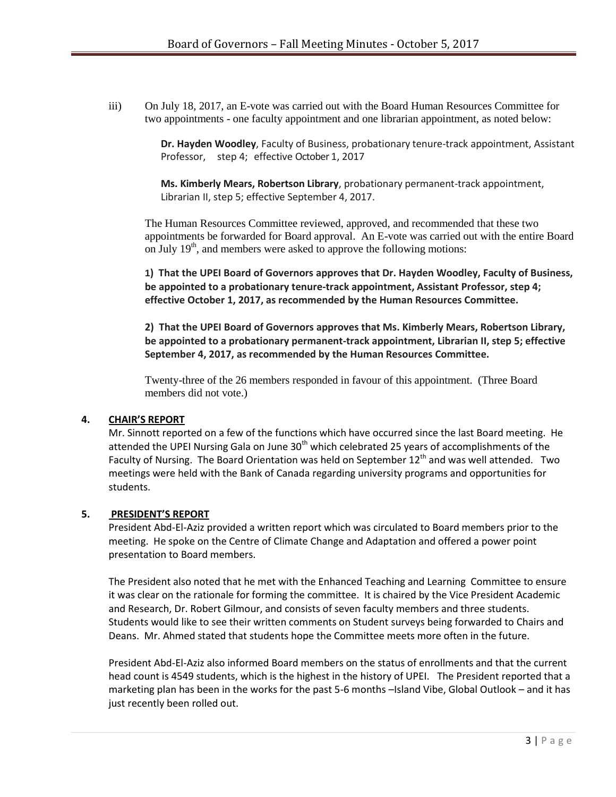iii) On July 18, 2017, an E-vote was carried out with the Board Human Resources Committee for two appointments - one faculty appointment and one librarian appointment, as noted below:

> **Dr. Hayden Woodley**, Faculty of Business, probationary tenure-track appointment, Assistant Professor, step 4; effective October 1, 2017

**Ms. Kimberly Mears, Robertson Library**, probationary permanent-track appointment, Librarian II, step 5; effective September 4, 2017.

The Human Resources Committee reviewed, approved, and recommended that these two appointments be forwarded for Board approval. An E-vote was carried out with the entire Board on July  $19<sup>th</sup>$ , and members were asked to approve the following motions:

**1) That the UPEI Board of Governors approves that Dr. Hayden Woodley, Faculty of Business, be appointed to a probationary tenure-track appointment, Assistant Professor, step 4; effective October 1, 2017, as recommended by the Human Resources Committee.**

**2) That the UPEI Board of Governors approves that Ms. Kimberly Mears, Robertson Library, be appointed to a probationary permanent-track appointment, Librarian II, step 5; effective September 4, 2017, as recommended by the Human Resources Committee.**

Twenty-three of the 26 members responded in favour of this appointment. (Three Board members did not vote.)

## **4. CHAIR'S REPORT**

Mr. Sinnott reported on a few of the functions which have occurred since the last Board meeting. He attended the UPEI Nursing Gala on June  $30<sup>th</sup>$  which celebrated 25 years of accomplishments of the Faculty of Nursing. The Board Orientation was held on September  $12^{th}$  and was well attended. Two meetings were held with the Bank of Canada regarding university programs and opportunities for students.

## **5. PRESIDENT'S REPORT**

President Abd-El-Aziz provided a written report which was circulated to Board members prior to the meeting. He spoke on the Centre of Climate Change and Adaptation and offered a power point presentation to Board members.

The President also noted that he met with the Enhanced Teaching and Learning Committee to ensure it was clear on the rationale for forming the committee. It is chaired by the Vice President Academic and Research, Dr. Robert Gilmour, and consists of seven faculty members and three students. Students would like to see their written comments on Student surveys being forwarded to Chairs and Deans. Mr. Ahmed stated that students hope the Committee meets more often in the future.

President Abd-El-Aziz also informed Board members on the status of enrollments and that the current head count is 4549 students, which is the highest in the history of UPEI. The President reported that a marketing plan has been in the works for the past 5-6 months –Island Vibe, Global Outlook – and it has just recently been rolled out.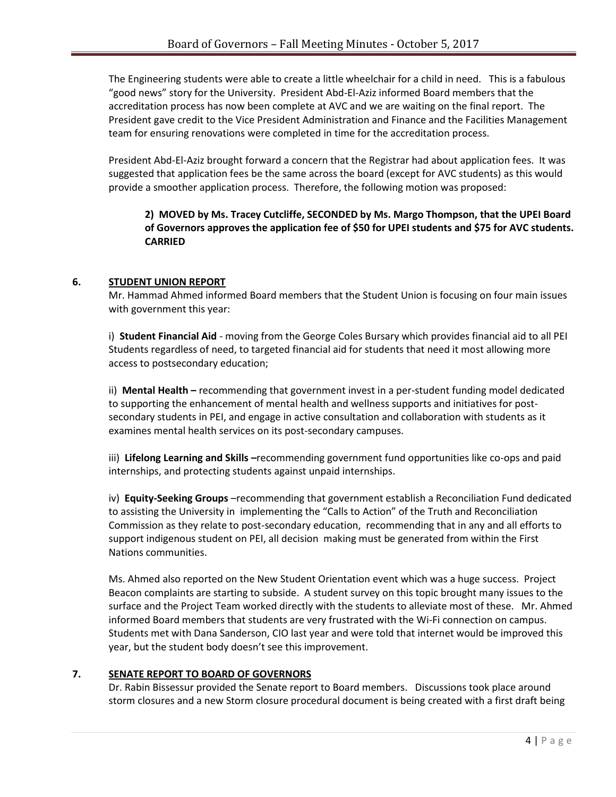The Engineering students were able to create a little wheelchair for a child in need. This is a fabulous "good news" story for the University. President Abd-El-Aziz informed Board members that the accreditation process has now been complete at AVC and we are waiting on the final report. The President gave credit to the Vice President Administration and Finance and the Facilities Management team for ensuring renovations were completed in time for the accreditation process.

President Abd-El-Aziz brought forward a concern that the Registrar had about application fees. It was suggested that application fees be the same across the board (except for AVC students) as this would provide a smoother application process. Therefore, the following motion was proposed:

## **2) MOVED by Ms. Tracey Cutcliffe, SECONDED by Ms. Margo Thompson, that the UPEI Board of Governors approves the application fee of \$50 for UPEI students and \$75 for AVC students. CARRIED**

## **6. STUDENT UNION REPORT**

Mr. Hammad Ahmed informed Board members that the Student Union is focusing on four main issues with government this year:

i) **Student Financial Aid** - moving from the George Coles Bursary which provides financial aid to all PEI Students regardless of need, to targeted financial aid for students that need it most allowing more access to postsecondary education;

ii) **Mental Health –** recommending that government invest in a per-student funding model dedicated to supporting the enhancement of mental health and wellness supports and initiatives for postsecondary students in PEI, and engage in active consultation and collaboration with students as it examines mental health services on its post-secondary campuses.

iii) **Lifelong Learning and Skills –**recommending government fund opportunities like co-ops and paid internships, and protecting students against unpaid internships.

iv) **Equity-Seeking Groups** –recommending that government establish a Reconciliation Fund dedicated to assisting the University in implementing the "Calls to Action" of the Truth and Reconciliation Commission as they relate to post-secondary education, recommending that in any and all efforts to support indigenous student on PEI, all decision making must be generated from within the First Nations communities.

Ms. Ahmed also reported on the New Student Orientation event which was a huge success. Project Beacon complaints are starting to subside. A student survey on this topic brought many issues to the surface and the Project Team worked directly with the students to alleviate most of these. Mr. Ahmed informed Board members that students are very frustrated with the Wi-Fi connection on campus. Students met with Dana Sanderson, CIO last year and were told that internet would be improved this year, but the student body doesn't see this improvement.

## **7. SENATE REPORT TO BOARD OF GOVERNORS**

Dr. Rabin Bissessur provided the Senate report to Board members. Discussions took place around storm closures and a new Storm closure procedural document is being created with a first draft being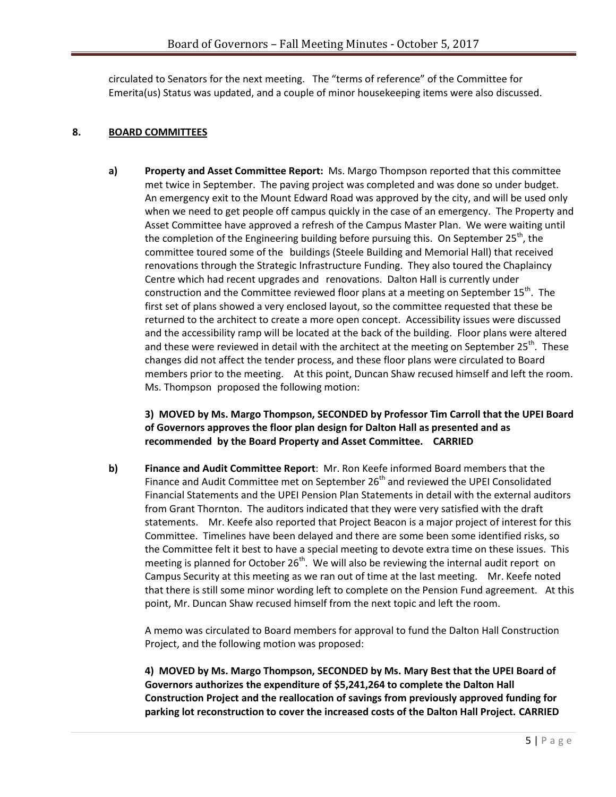circulated to Senators for the next meeting. The "terms of reference" of the Committee for Emerita(us) Status was updated, and a couple of minor housekeeping items were also discussed.

## **8. BOARD COMMITTEES**

**a) Property and Asset Committee Report:** Ms. Margo Thompson reported that this committee met twice in September. The paving project was completed and was done so under budget. An emergency exit to the Mount Edward Road was approved by the city, and will be used only when we need to get people off campus quickly in the case of an emergency. The Property and Asset Committee have approved a refresh of the Campus Master Plan. We were waiting until the completion of the Engineering building before pursuing this. On September 25<sup>th</sup>, the committee toured some of the buildings (Steele Building and Memorial Hall) that received renovations through the Strategic Infrastructure Funding. They also toured the Chaplaincy Centre which had recent upgrades and renovations. Dalton Hall is currently under construction and the Committee reviewed floor plans at a meeting on September  $15^{th}$ . The first set of plans showed a very enclosed layout, so the committee requested that these be returned to the architect to create a more open concept. Accessibility issues were discussed and the accessibility ramp will be located at the back of the building. Floor plans were altered and these were reviewed in detail with the architect at the meeting on September 25<sup>th</sup>. These changes did not affect the tender process, and these floor plans were circulated to Board members prior to the meeting. At this point, Duncan Shaw recused himself and left the room. Ms. Thompson proposed the following motion:

## **3) MOVED by Ms. Margo Thompson, SECONDED by Professor Tim Carroll that the UPEI Board of Governors approves the floor plan design for Dalton Hall as presented and as recommended by the Board Property and Asset Committee. CARRIED**

**b) Finance and Audit Committee Report**: Mr. Ron Keefe informed Board members that the Finance and Audit Committee met on September 26<sup>th</sup> and reviewed the UPEI Consolidated Financial Statements and the UPEI Pension Plan Statements in detail with the external auditors from Grant Thornton. The auditors indicated that they were very satisfied with the draft statements. Mr. Keefe also reported that Project Beacon is a major project of interest for this Committee. Timelines have been delayed and there are some been some identified risks, so the Committee felt it best to have a special meeting to devote extra time on these issues. This meeting is planned for October 26<sup>th</sup>. We will also be reviewing the internal audit report on Campus Security at this meeting as we ran out of time at the last meeting. Mr. Keefe noted that there is still some minor wording left to complete on the Pension Fund agreement. At this point, Mr. Duncan Shaw recused himself from the next topic and left the room.

A memo was circulated to Board members for approval to fund the Dalton Hall Construction Project, and the following motion was proposed:

**4) MOVED by Ms. Margo Thompson, SECONDED by Ms. Mary Best that the UPEI Board of Governors authorizes the expenditure of \$5,241,264 to complete the Dalton Hall Construction Project and the reallocation of savings from previously approved funding for parking lot reconstruction to cover the increased costs of the Dalton Hall Project. CARRIED**